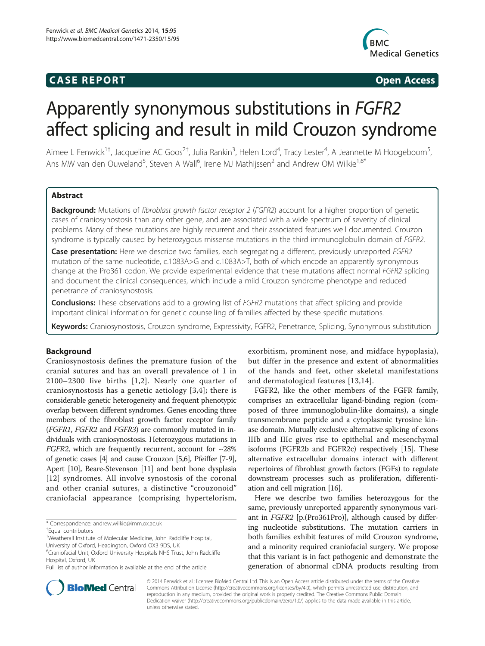## **CASE REPORT CASE REPORT**



# Apparently synonymous substitutions in FGFR2 affect splicing and result in mild Crouzon syndrome

Aimee L Fenwick<sup>1†</sup>, Jacqueline AC Goos<sup>2†</sup>, Julia Rankin<sup>3</sup>, Helen Lord<sup>4</sup>, Tracy Lester<sup>4</sup>, A Jeannette M Hoogeboom<sup>5</sup> , Ans MW van den Ouweland<sup>5</sup>, Steven A Wall<sup>6</sup>, Irene MJ Mathijssen<sup>2</sup> and Andrew OM Wilkie<sup>1,6\*</sup>

## Abstract

Background: Mutations of fibroblast growth factor receptor 2 (FGFR2) account for a higher proportion of genetic cases of craniosynostosis than any other gene, and are associated with a wide spectrum of severity of clinical problems. Many of these mutations are highly recurrent and their associated features well documented. Crouzon syndrome is typically caused by heterozygous missense mutations in the third immunoglobulin domain of FGFR2.

Case presentation: Here we describe two families, each segregating a different, previously unreported FGFR2 mutation of the same nucleotide, c.1083A>G and c.1083A>T, both of which encode an apparently synonymous change at the Pro361 codon. We provide experimental evidence that these mutations affect normal FGFR2 splicing and document the clinical consequences, which include a mild Crouzon syndrome phenotype and reduced penetrance of craniosynostosis.

**Conclusions:** These observations add to a growing list of FGFR2 mutations that affect splicing and provide important clinical information for genetic counselling of families affected by these specific mutations.

Keywords: Craniosynostosis, Crouzon syndrome, Expressivity, FGFR2, Penetrance, Splicing, Synonymous substitution

## Background

Craniosynostosis defines the premature fusion of the cranial sutures and has an overall prevalence of 1 in 2100–2300 live births [[1](#page-4-0),[2\]](#page-4-0). Nearly one quarter of craniosynostosis has a genetic aetiology [\[3](#page-4-0),[4](#page-4-0)]; there is considerable genetic heterogeneity and frequent phenotypic overlap between different syndromes. Genes encoding three members of the fibroblast growth factor receptor family (FGFR1, FGFR2 and FGFR3) are commonly mutated in individuals with craniosynostosis. Heterozygous mutations in *FGFR2*, which are frequently recurrent, account for  $\sim$ 28% of genetic cases [\[4\]](#page-4-0) and cause Crouzon [\[5,6](#page-4-0)], Pfeiffer [[7](#page-4-0)-[9](#page-4-0)], Apert [\[10\]](#page-4-0), Beare-Stevenson [\[11](#page-4-0)] and bent bone dysplasia [[12](#page-4-0)] syndromes. All involve synostosis of the coronal and other cranial sutures, a distinctive "crouzonoid" craniofacial appearance (comprising hypertelorism,

<sup>1</sup>Weatherall Institute of Molecular Medicine, John Radcliffe Hospital,

University of Oxford, Headington, Oxford OX3 9DS, UK

exorbitism, prominent nose, and midface hypoplasia), but differ in the presence and extent of abnormalities of the hands and feet, other skeletal manifestations and dermatological features [[13,14\]](#page-4-0).

FGFR2, like the other members of the FGFR family, comprises an extracellular ligand-binding region (composed of three immunoglobulin-like domains), a single transmembrane peptide and a cytoplasmic tyrosine kinase domain. Mutually exclusive alternative splicing of exons IIIb and IIIc gives rise to epithelial and mesenchymal isoforms (FGFR2b and FGFR2c) respectively [[15](#page-4-0)]. These alternative extracellular domains interact with different repertoires of fibroblast growth factors (FGFs) to regulate downstream processes such as proliferation, differentiation and cell migration [[16\]](#page-4-0).

Here we describe two families heterozygous for the same, previously unreported apparently synonymous variant in FGFR2 [p.(Pro361Pro)], although caused by differing nucleotide substitutions. The mutation carriers in both families exhibit features of mild Crouzon syndrome, and a minority required craniofacial surgery. We propose that this variant is in fact pathogenic and demonstrate the generation of abnormal cDNA products resulting from



© 2014 Fenwick et al.; licensee BioMed Central Ltd. This is an Open Access article distributed under the terms of the Creative Commons Attribution License [\(http://creativecommons.org/licenses/by/4.0\)](http://creativecommons.org/licenses/by/4.0), which permits unrestricted use, distribution, and reproduction in any medium, provided the original work is properly credited. The Creative Commons Public Domain Dedication waiver [\(http://creativecommons.org/publicdomain/zero/1.0/](http://creativecommons.org/publicdomain/zero/1.0/)) applies to the data made available in this article, unless otherwise stated.

<sup>\*</sup> Correspondence: [andrew.wilkie@imm.ox.ac.uk](mailto:andrew.wilkie@imm.ox.ac.uk) †

Equal contributors

<sup>6</sup> Craniofacial Unit, Oxford University Hospitals NHS Trust, John Radcliffe Hospital, Oxford, UK

Full list of author information is available at the end of the article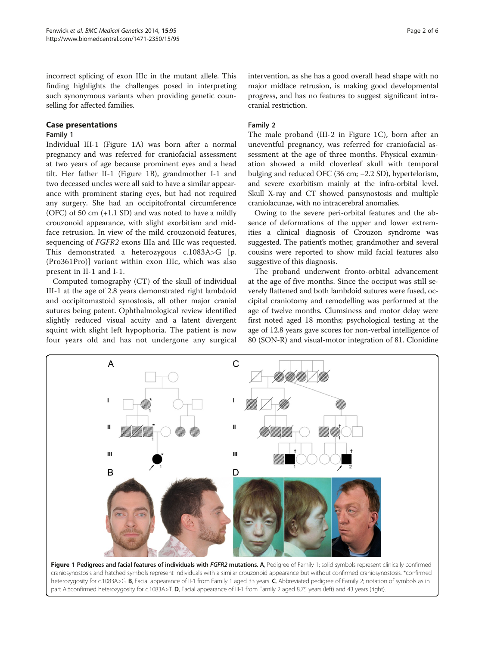<span id="page-1-0"></span>incorrect splicing of exon IIIc in the mutant allele. This finding highlights the challenges posed in interpreting such synonymous variants when providing genetic counselling for affected families.

### Case presentations

## Family 1

Individual III-1 (Figure 1A) was born after a normal pregnancy and was referred for craniofacial assessment at two years of age because prominent eyes and a head tilt. Her father II-1 (Figure 1B), grandmother I-1 and two deceased uncles were all said to have a similar appearance with prominent staring eyes, but had not required any surgery. She had an occipitofrontal circumference (OFC) of 50 cm  $(+1.1 S_D)$  and was noted to have a mildly crouzonoid appearance, with slight exorbitism and midface retrusion. In view of the mild crouzonoid features, sequencing of FGFR2 exons IIIa and IIIc was requested. This demonstrated a heterozygous c.1083A>G [p. (Pro361Pro)] variant within exon IIIc, which was also present in II-1 and I-1.

Computed tomography (CT) of the skull of individual III-1 at the age of 2.8 years demonstrated right lambdoid and occipitomastoid synostosis, all other major cranial sutures being patent. Ophthalmological review identified slightly reduced visual acuity and a latent divergent squint with slight left hypophoria. The patient is now four years old and has not undergone any surgical

## Family 2

The male proband (III-2 in Figure 1C), born after an uneventful pregnancy, was referred for craniofacial assessment at the age of three months. Physical examination showed a mild cloverleaf skull with temporal bulging and reduced OFC (36 cm; −2.2 SD), hypertelorism, and severe exorbitism mainly at the infra-orbital level. Skull X-ray and CT showed pansynostosis and multiple craniolacunae, with no intracerebral anomalies.

Owing to the severe peri-orbital features and the absence of deformations of the upper and lower extremities a clinical diagnosis of Crouzon syndrome was suggested. The patient's mother, grandmother and several cousins were reported to show mild facial features also suggestive of this diagnosis.

The proband underwent fronto-orbital advancement at the age of five months. Since the occiput was still severely flattened and both lambdoid sutures were fused, occipital craniotomy and remodelling was performed at the age of twelve months. Clumsiness and motor delay were first noted aged 18 months; psychological testing at the age of 12.8 years gave scores for non-verbal intelligence of 80 (SON-R) and visual-motor integration of 81. Clonidine



craniosynostosis and hatched symbols represent individuals with a similar crouzonoid appearance but without confirmed craniosynostosis. \*confirmed heterozygosity for c.1083A>G. B, Facial appearance of II-1 from Family 1 aged 33 years. C, Abbreviated pedigree of Family 2; notation of symbols as in part A.†confirmed heterozygosity for c.1083A>T. D, Facial appearance of III-1 from Family 2 aged 8.75 years (left) and 43 years (right).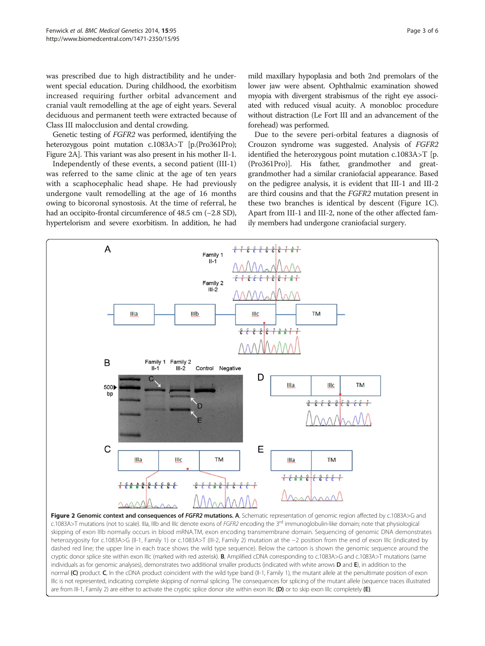<span id="page-2-0"></span>was prescribed due to high distractibility and he underwent special education. During childhood, the exorbitism increased requiring further orbital advancement and cranial vault remodelling at the age of eight years. Several deciduous and permanent teeth were extracted because of Class III malocclusion and dental crowding.

Genetic testing of FGFR2 was performed, identifying the heterozygous point mutation c.1083A>T [p.(Pro361Pro); Figure 2A]. This variant was also present in his mother II-1.

Independently of these events, a second patient (III-1) was referred to the same clinic at the age of ten years with a scaphocephalic head shape. He had previously undergone vault remodelling at the age of 16 months owing to bicoronal synostosis. At the time of referral, he had an occipito-frontal circumference of 48.5 cm (−2.8 SD), hypertelorism and severe exorbitism. In addition, he had mild maxillary hypoplasia and both 2nd premolars of the lower jaw were absent. Ophthalmic examination showed myopia with divergent strabismus of the right eye associated with reduced visual acuity. A monobloc procedure without distraction (Le Fort III and an advancement of the forehead) was performed.

Due to the severe peri-orbital features a diagnosis of Crouzon syndrome was suggested. Analysis of FGFR2 identified the heterozygous point mutation c.1083A>T [p. (Pro361Pro)]. His father, grandmother and greatgrandmother had a similar craniofacial appearance. Based on the pedigree analysis, it is evident that III-1 and III-2 are third cousins and that the FGFR2 mutation present in these two branches is identical by descent (Figure [1C](#page-1-0)). Apart from III-1 and III-2, none of the other affected family members had undergone craniofacial surgery.



skipping of exon IIIb normally occurs in blood mRNA.TM, exon encoding transmembrane domain. Sequencing of genomic DNA demonstrates heterozygosity for c.1083A>G (II-1, Family 1) or c.1083A>T (III-2, Family 2) mutation at the −2 position from the end of exon IIIc (indicated by dashed red line; the upper line in each trace shows the wild type sequence). Below the cartoon is shown the genomic sequence around the cryptic donor splice site within exon IIIc (marked with red asterisk). B, Amplified cDNA corresponding to c.1083A>G and c.1083A>T mutations (same individuals as for genomic analyses), demonstrates two additional smaller products (indicated with white arrows **D** and **E**), in addition to the normal (C) product. C, In the cDNA product coincident with the wild type band (II-1, Family 1), the mutant allele at the penultimate position of exon IIIc is not represented, indicating complete skipping of normal splicing. The consequences for splicing of the mutant allele (sequence traces illustrated are from III-1, Family 2) are either to activate the cryptic splice donor site within exon IIIc (D) or to skip exon IIIc completely (E).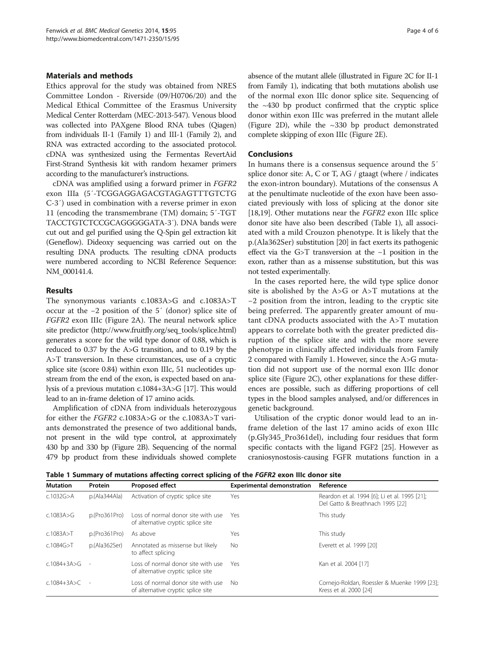## Materials and methods

Ethics approval for the study was obtained from NRES Committee London - Riverside (09/H0706/20) and the Medical Ethical Committee of the Erasmus University Medical Center Rotterdam (MEC-2013-547). Venous blood was collected into PAXgene Blood RNA tubes (Qiagen) from individuals II-1 (Family 1) and III-1 (Family 2), and RNA was extracted according to the associated protocol. cDNA was synthesized using the Fermentas RevertAid First-Strand Synthesis kit with random hexamer primers according to the manufacturer's instructions.

cDNA was amplified using a forward primer in FGFR2 exon IIIa (5′-TCGGAGGAGACGTAGAGTTTGTCTG C-3′) used in combination with a reverse primer in exon 11 (encoding the transmembrane (TM) domain; 5′-TGT TACCTGTCTCCGCAGGGGGATA-3′). DNA bands were cut out and gel purified using the Q-Spin gel extraction kit (Geneflow). Dideoxy sequencing was carried out on the resulting DNA products. The resulting cDNA products were numbered according to NCBI Reference Sequence: NM\_000141.4.

#### Results

The synonymous variants c.1083A>G and c.1083A>T occur at the −2 position of the 5′ (donor) splice site of FGFR2 exon IIIc (Figure [2](#page-2-0)A). The neural network splice site predictor ([http://www.fruitfly.org/seq\\_tools/splice.html](http://www.fruitfly.org/seq_tools/splice.html)) generates a score for the wild type donor of 0.88, which is reduced to 0.37 by the A>G transition, and to 0.19 by the A>T transversion. In these circumstances, use of a cryptic splice site (score 0.84) within exon IIIc, 51 nucleotides upstream from the end of the exon, is expected based on analysis of a previous mutation c.1084+3A>G [[17](#page-4-0)]. This would lead to an in-frame deletion of 17 amino acids.

Amplification of cDNA from individuals heterozygous for either the FGFR2 c.1083A>G or the c.1083A>T variants demonstrated the presence of two additional bands, not present in the wild type control, at approximately 430 bp and 330 bp (Figure [2](#page-2-0)B). Sequencing of the normal 479 bp product from these individuals showed complete absence of the mutant allele (illustrated in Figure [2](#page-2-0)C for II-1 from Family 1), indicating that both mutations abolish use of the normal exon IIIc donor splice site. Sequencing of the  $~430$  bp product confirmed that the cryptic splice donor within exon IIIc was preferred in the mutant allele (Figure [2](#page-2-0)D), while the ~330 bp product demonstrated complete skipping of exon IIIc (Figure [2](#page-2-0)E).

#### Conclusions

In humans there is a consensus sequence around the 5′ splice donor site: A, C or T, AG / gtaagt (where / indicates the exon-intron boundary). Mutations of the consensus A at the penultimate nucleotide of the exon have been associated previously with loss of splicing at the donor site [[18](#page-4-0),[19](#page-4-0)]. Other mutations near the FGFR2 exon IIIc splice donor site have also been described (Table 1), all associated with a mild Crouzon phenotype. It is likely that the p.(Ala362Ser) substitution [\[20](#page-4-0)] in fact exerts its pathogenic effect via the G>T transversion at the −1 position in the exon, rather than as a missense substitution, but this was not tested experimentally.

In the cases reported here, the wild type splice donor site is abolished by the A>G or A>T mutations at the −2 position from the intron, leading to the cryptic site being preferred. The apparently greater amount of mutant cDNA products associated with the A>T mutation appears to correlate both with the greater predicted disruption of the splice site and with the more severe phenotype in clinically affected individuals from Family 2 compared with Family 1. However, since the A>G mutation did not support use of the normal exon IIIc donor splice site (Figure [2](#page-2-0)C), other explanations for these differences are possible, such as differing proportions of cell types in the blood samples analysed, and/or differences in genetic background.

Utilisation of the cryptic donor would lead to an inframe deletion of the last 17 amino acids of exon IIIc (p.Gly345\_Pro361del), including four residues that form specific contacts with the ligand FGF2 [[25](#page-5-0)]. However as craniosynostosis-causing FGFR mutations function in a

Table 1 Summary of mutations affecting correct splicing of the FGFR2 exon IIIc donor site

| <b>Mutation</b>   | Protein       | <b>Proposed effect</b>                                                   | <b>Experimental demonstration</b> | Reference                                                                         |
|-------------------|---------------|--------------------------------------------------------------------------|-----------------------------------|-----------------------------------------------------------------------------------|
| c.1032G > A       | p.(Ala344Ala) | Activation of cryptic splice site                                        | Yes                               | Reardon et al. 1994 [6]; Li et al. 1995 [21];<br>Del Gatto & Breathnach 1995 [22] |
| c.1083A > G       | p.(Pro361Pro) | Loss of normal donor site with use<br>of alternative cryptic splice site | Yes                               | This study                                                                        |
| c.1083A > T       | p.(Pro361Pro) | As above                                                                 | Yes                               | This study                                                                        |
| c.1084G > T       | p.(Ala362Ser) | Annotated as missense but likely<br>to affect splicing                   | No.                               | Everett et al. 1999 [20]                                                          |
| $C.1084 + 3A > G$ |               | Loss of normal donor site with use<br>of alternative cryptic splice site | Yes                               | Kan et al. 2004 [17]                                                              |
| $c.1084 + 3A > C$ |               | Loss of normal donor site with use<br>of alternative cryptic splice site | No.                               | Cornejo-Roldan, Roessler & Muenke 1999 [23];<br>Kress et al. 2000 [24]            |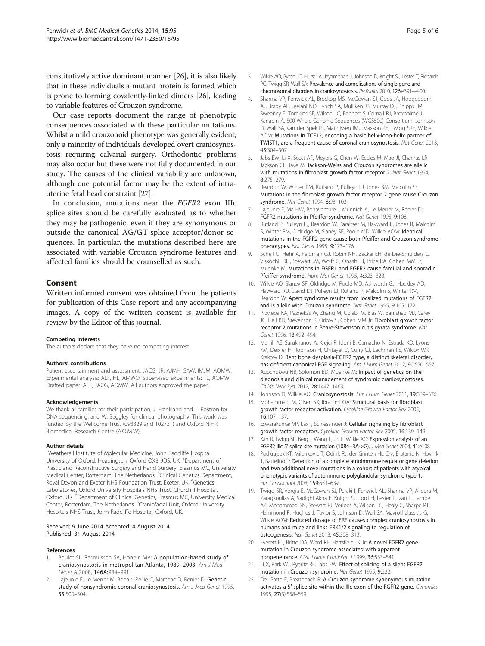<span id="page-4-0"></span>constitutively active dominant manner [[26](#page-5-0)], it is also likely that in these individuals a mutant protein is formed which is prone to forming covalently-linked dimers [[26](#page-5-0)], leading to variable features of Crouzon syndrome.

Our case reports document the range of phenotypic consequences associated with these particular mutations. Whilst a mild crouzonoid phenotype was generally evident, only a minority of individuals developed overt craniosynostosis requiring calvarial surgery. Orthodontic problems may also occur but these were not fully documented in our study. The causes of the clinical variability are unknown, although one potential factor may be the extent of intrauterine fetal head constraint [\[27\]](#page-5-0).

In conclusion, mutations near the FGFR2 exon IIIc splice sites should be carefully evaluated as to whether they may be pathogenic, even if they are synonymous or outside the canonical AG/GT splice acceptor/donor sequences. In particular, the mutations described here are associated with variable Crouzon syndrome features and affected families should be counselled as such.

## Consent

Written informed consent was obtained from the patients for publication of this Case report and any accompanying images. A copy of the written consent is available for review by the Editor of this journal.

#### Competing interests

The authors declare that they have no competing interest.

#### Authors' contributions

Patient ascertainment and assessment: JACG, JR, AJMH, SAW, IMJM, AOMW. Experimental analysis: ALF, HL, AMWO. Supervised experiments: TL, AOMW. Drafted paper: ALF, JACG, AOMW. All authors approved the paper.

#### Acknowledgements

We thank all families for their participation, J. Frankland and T. Rostron for DNA sequencing, and W. Baggley for clinical photography. This work was funded by the Wellcome Trust (093329 and 102731) and Oxford NIHR Biomedical Research Centre (A.O.M.W).

#### Author details

<sup>1</sup>Weatherall Institute of Molecular Medicine, John Radcliffe Hospital, University of Oxford, Headington, Oxford OX3 9DS, UK. <sup>2</sup>Department of Plastic and Reconstructive Surgery and Hand Surgery, Erasmus MC, University Medical Center, Rotterdam, The Netherlands. <sup>3</sup>Clinical Genetics Department, Royal Devon and Exeter NHS Foundation Trust, Exeter, UK. <sup>4</sup>Genetics Laboratories, Oxford University Hospitals NHS Trust, Churchill Hospital, Oxford, UK. <sup>5</sup>Department of Clinical Genetics, Erasmus MC, University Medical Center, Rotterdam, The Netherlands. <sup>6</sup>Craniofacial Unit, Oxford University Hospitals NHS Trust, John Radcliffe Hospital, Oxford, UK.

#### Received: 9 June 2014 Accepted: 4 August 2014 Published: 31 August 2014

#### References

- Boulet SL, Rasmussen SA, Honein MA: A population-based study of craniosynostosis in metropolitan Atlanta, 1989–2003. Am J Med Genet A 2008, 146A:984–991.
- Lajeunie E, Le Merrer M, Bonaiti-Pellie C, Marchac D, Renier D: Genetic study of nonsyndromic coronal craniosynostosis. Am J Med Genet 1995, 55:500–504.
- 3. Wilkie AO, Byren JC, Hurst JA, Jayamohan J, Johnson D, Knight SJ, Lester T, Richards PG, Twigg SR, Wall SA: Prevalence and complications of single-gene and chromosomal disorders in craniosynostosis. Pediatrics 2010, 126:e391-e400.
- 4. Sharma VP, Fenwick AL, Brockop MS, McGowan SJ, Goos JA, Hoogeboom AJ, Brady AF, Jeelani NO, Lynch SA, Mulliken JB, Murray DJ, Phipps JM, Sweeney E, Tomkins SE, Wilson LC, Bennett S, Cornall RJ, Broxholme J, Kanapin A, 500 Whole-Genome Sequences (WGS500) Consortium, Johnson D, Wall SA, van der Spek PJ, Mathijssen IMJ, Maxson RE, Twigg SRF, Wilkie AOM: Mutations in TCF12, encoding a basic helix-loop-helix partner of TWIST1, are a frequent cause of coronal craniosynostosis. Nat Genet 2013, 45:304–307.
- 5. Jabs EW, Li X, Scott AF, Meyers G, Chen W, Eccles M, Mao JI, Charnas LR, Jackson CE, Jaye M: Jackson-Weiss and Crouzon syndromes are allelic with mutations in fibroblast growth factor receptor 2. Nat Genet 1994,  $8.275 - 279$
- 6. Reardon W, Winter RM, Rutland P, Pulleyn LJ, Jones BM, Malcolm S: Mutations in the fibroblast growth factor receptor 2 gene cause Crouzon syndrome. Nat Genet 1994, 8:98-103.
- 7. Lajeunie E, Ma HW, Bonaventure J, Munnich A, Le Merrer M, Renier D: FGFR2 mutations in Pfeiffer syndrome. Nat Genet 1995, 9:108.
- 8. Rutland P, Pulleyn LJ, Reardon W, Baraitser M, Hayward R, Jones B, Malcolm S, Winter RM, Oldridge M, Slaney SF, Poole MD, Wilkie AOM: Identical mutations in the FGFR2 gene cause both Pfeiffer and Crouzon syndrome phenotypes. Nat Genet 1995, 9:173–176.
- 9. Schell U, Hehr A, Feldman GJ, Robin NH, Zackai EH, de Die-Smulders C, Viskochil DH, Stewart JM, Wolff G, Ohashi H, Price RA, Cohen MM Jr, Muenke M: Mutations in FGFR1 and FGFR2 cause familial and sporadic Pfeiffer syndrome. Hum Mol Genet 1995, 4:323–328.
- 10. Wilkie AO, Slaney SF, Oldridge M, Poole MD, Ashworth GJ, Hockley AD, Hayward RD, David DJ, Pulleyn LJ, Rutland P, Malcolm S, Winter RM, Reardon W: Apert syndrome results from localized mutations of FGFR2 and is allelic with Crouzon syndrome. Nat Genet 1995, 9:165–172.
- 11. Przylepa KA, Paznekas W, Zhang M, Golabi M, Bias W, Bamshad MJ, Carey JC, Hall BD, Stevenson R, Orlow S, Cohen MM Jr: Fibroblast growth factor receptor 2 mutations in Beare-Stevenson cutis gyrata syndrome. Nat Genet 1996, 13:492-494.
- 12. Merrill AE, Sarukhanov A, Krejci P, Idoni B, Camacho N, Estrada KD, Lyons KM, Deixler H, Robinson H, Chitayat D, Curry CJ, Lachman RS, Wilcox WR, Krakow D: Bent bone dysplasia-FGFR2 type, a distinct skeletal disorder, has deficient canonical FGF signaling. Am J Hum Genet 2012, 90:550-557.
- 13. Agochukwu NB, Solomon BD, Muenke M: Impact of genetics on the diagnosis and clinical management of syndromic craniosynostoses. Childs Nerv Syst 2012, 28:1447–1463.
- 14. Johnson D, Wilkie AO: Craniosynostosis. Eur J Hum Genet 2011, 19:369-376.
- 15. Mohammadi M, Olsen SK, Ibrahimi OA: Structural basis for fibroblast growth factor receptor activation. Cytokine Growth Factor Rev 2005, 16:107–137.
- 16. Eswarakumar VP, Lax I, Schlessinger J: Cellular signaling by fibroblast growth factor receptors. Cytokine Growth Factor Rev 2005, 16:139–149.
- 17. Kan R, Twigg SR, Berg J, Wang L, Jin F, Wilkie AO: Expression analysis of an FGFR2 IIIc 5′ splice site mutation (1084+3A->G). J Med Genet 2004, 41:e108.
- 18. Podkrajsek KT, Milenkovic T, Odink RJ, der Grinten HL C-v, Bratanic N, Hovnik T, Battelino T: Detection of a complete autoimmune regulator gene deletion and two additional novel mutations in a cohort of patients with atypical phenotypic variants of autoimmune polyglandular syndrome type 1. Eur J Endocrinol 2008, 159:633–639.
- 19. Twigg SR, Vorgia E, McGowan SJ, Peraki I, Fenwick AL, Sharma VP, Allegra M, Zaragkoulias A, Sadighi Akha E, Knight SJ, Lord H, Lester T, Izatt L, Lampe AK, Mohammed SN, Stewart FJ, Verloes A, Wilson LC, Healy C, Sharpe PT, Hammond P, Hughes J, Taylor S, Johnson D, Wall SA, Mavrothalassitis G, Wilkie AOM: Reduced dosage of ERF causes complex craniosynostosis in humans and mice and links ERK1/2 signaling to regulation of osteogenesis. Nat Genet 2013, 45:308–313.
- 20. Everett ET, Britto DA, Ward RE, Hartsfield JK Jr: A novel FGFR2 gene mutation in Crouzon syndrome associated with apparent nonpenetrance. Cleft Palate Craniofac J 1999, 36:533-541.
- 21. Li X, Park WJ, Pyeritz RE, Jabs EW: Effect of splicing of a silent FGFR2 mutation in Crouzon syndrome. Nat Genet 1995, 9:232.
- 22. Del Gatto F, Breathnach R: A Crouzon syndrome synonymous mutation activates a 5' splice site within the IIIc exon of the FGFR2 gene. Genomics 1995, 27(3):558–559.